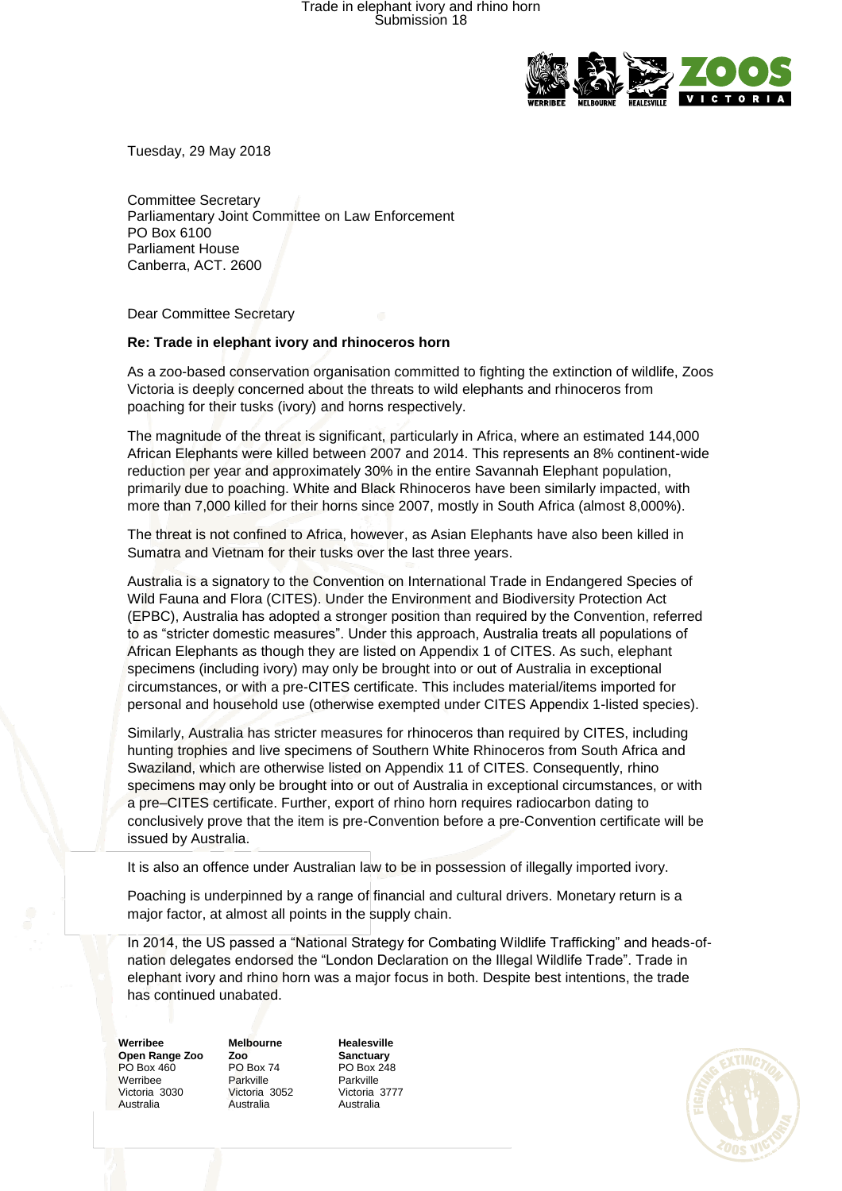## Trade in elephant ivory and rhino horn Submission 18



Tuesday, 29 May 2018

Committee Secretary Parliamentary Joint Committee on Law Enforcement PO Box 6100 Parliament House Canberra, ACT. 2600

Dear Committee Secretary

## **Re: Trade in elephant ivory and rhinoceros horn**

As a zoo-based conservation organisation committed to fighting the extinction of wildlife, Zoos Victoria is deeply concerned about the threats to wild elephants and rhinoceros from poaching for their tusks (ivory) and horns respectively.

The magnitude of the threat is significant, particularly in Africa, where an estimated 144,000 African Elephants were killed between 2007 and 2014. This represents an 8% continent-wide reduction per year and approximately 30% in the entire Savannah Elephant population, primarily due to poaching. White and Black Rhinoceros have been similarly impacted, with more than 7,000 killed for their horns since 2007, mostly in South Africa (almost 8,000%).

The threat is not confined to Africa, however, as Asian Elephants have also been killed in Sumatra and Vietnam for their tusks over the last three years.

Australia is a signatory to the Convention on International Trade in Endangered Species of Wild Fauna and Flora (CITES). Under the Environment and Biodiversity Protection Act (EPBC), Australia has adopted a stronger position than required by the Convention, referred to as "stricter domestic measures". Under this approach, Australia treats all populations of African Elephants as though they are listed on Appendix 1 of CITES. As such, elephant specimens (including ivory) may only be brought into or out of Australia in exceptional circumstances, or with a pre-CITES certificate. This includes material/items imported for personal and household use (otherwise exempted under CITES Appendix 1-listed species).

Similarly, Australia has stricter measures for rhinoceros than required by CITES, including hunting trophies and live specimens of Southern White Rhinoceros from South Africa and Swaziland, which are otherwise listed on Appendix 11 of CITES. Consequently, rhino specimens may only be brought into or out of Australia in exceptional circumstances, or with a pre–CITES certificate. Further, export of rhino horn requires radiocarbon dating to conclusively prove that the item is pre-Convention before a pre-Convention certificate will be issued by Australia.

It is also an offence under Australian law to be in possession of illegally imported ivory.

Poaching is underpinned by a range of financial and cultural drivers. Monetary return is a major factor, at almost all points in the supply chain.

In 2014, the US passed a "National Strategy for Combating Wildlife Trafficking" and heads-ofnation delegates endorsed the "London Declaration on the Illegal Wildlife Trade". Trade in elephant ivory and rhino horn was a major focus in both. Despite best intentions, the trade has continued unabated.

**Werribee Open Range Zoo** PO Box 460 Werribee Victoria 3030 Australia

**Melbourne Zoo** PO Box 74 Parkville Victoria 3052 Australia

**Healesville Sanctuary** PO Box 248 Parkville Victoria 3777 Australia

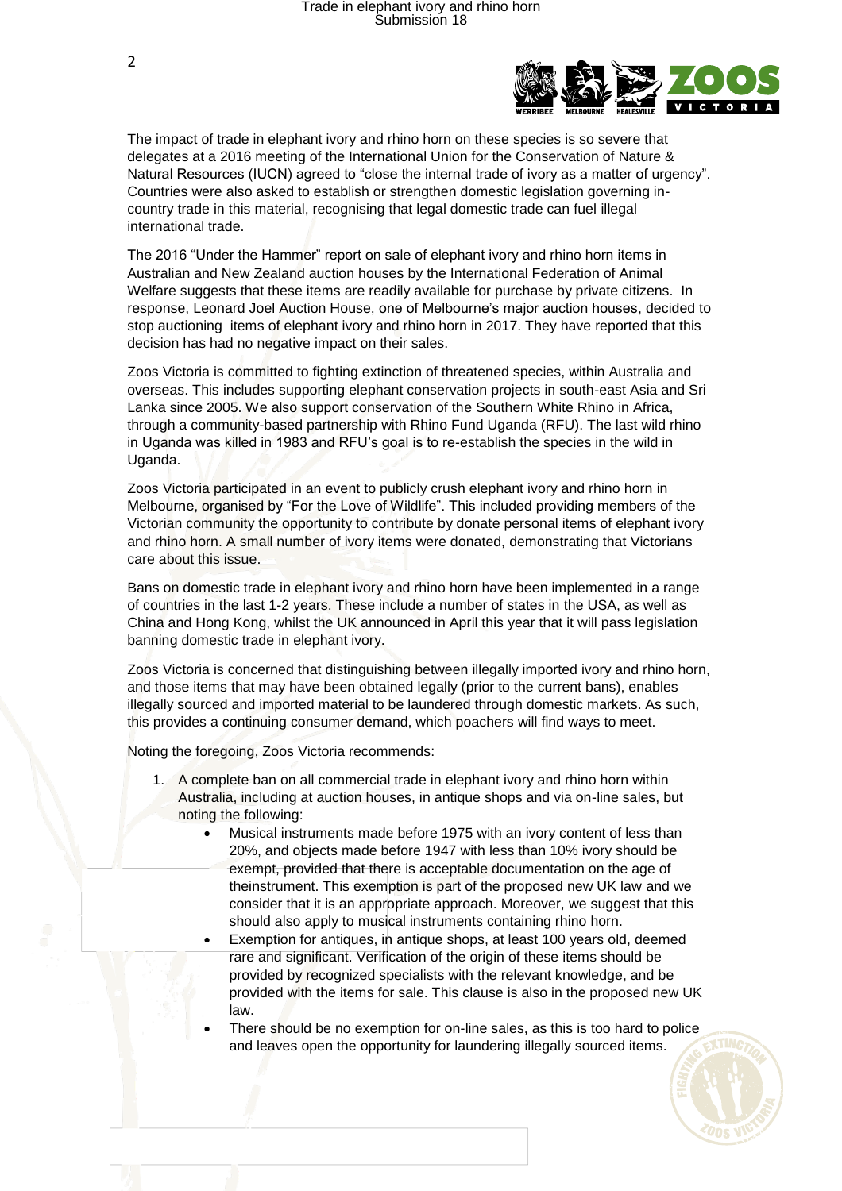

The impact of trade in elephant ivory and rhino horn on these species is so severe that delegates at a 2016 meeting of the International Union for the Conservation of Nature & Natural Resources (IUCN) agreed to "close the internal trade of ivory as a matter of urgency". Countries were also asked to establish or strengthen domestic legislation governing incountry trade in this material, recognising that legal domestic trade can fuel illegal international trade.

The 2016 "Under the Hammer" report on sale of elephant ivory and rhino horn items in Australian and New Zealand auction houses by the International Federation of Animal Welfare suggests that these items are readily available for purchase by private citizens. In response, Leonard Joel Auction House, one of Melbourne's major auction houses, decided to stop auctioning items of elephant ivory and rhino horn in 2017. They have reported that this decision has had no negative impact on their sales.

Zoos Victoria is committed to fighting extinction of threatened species, within Australia and overseas. This includes supporting elephant conservation projects in south-east Asia and Sri Lanka since 2005. We also support conservation of the Southern White Rhino in Africa, through a community-based partnership with Rhino Fund Uganda (RFU). The last wild rhino in Uganda was killed in 1983 and RFU's goal is to re-establish the species in the wild in Uganda.

Zoos Victoria participated in an event to publicly crush elephant ivory and rhino horn in Melbourne, organised by "For the Love of Wildlife". This included providing members of the Victorian community the opportunity to contribute by donate personal items of elephant ivory and rhino horn. A small number of ivory items were donated, demonstrating that Victorians care about this issue.

Bans on domestic trade in elephant ivory and rhino horn have been implemented in a range of countries in the last 1-2 years. These include a number of states in the USA, as well as China and Hong Kong, whilst the UK announced in April this year that it will pass legislation banning domestic trade in elephant ivory.

Zoos Victoria is concerned that distinguishing between illegally imported ivory and rhino horn, and those items that may have been obtained legally (prior to the current bans), enables illegally sourced and imported material to be laundered through domestic markets. As such, this provides a continuing consumer demand, which poachers will find ways to meet.

Noting the foregoing, Zoos Victoria recommends:

- 1. A complete ban on all commercial trade in elephant ivory and rhino horn within Australia, including at auction houses, in antique shops and via on-line sales, but noting the following:
	- Musical instruments made before 1975 with an ivory content of less than 20%, and objects made before 1947 with less than 10% ivory should be exempt, provided that there is acceptable documentation on the age of theinstrument. This exemption is part of the proposed new UK law and we consider that it is an appropriate approach. Moreover, we suggest that this should also apply to musical instruments containing rhino horn.
	- Exemption for antiques, in antique shops, at least 100 years old, deemed rare and significant. Verification of the origin of these items should be provided by recognized specialists with the relevant knowledge, and be provided with the items for sale. This clause is also in the proposed new UK law.
	- There should be no exemption for on-line sales, as this is too hard to police and leaves open the opportunity for laundering illegally sourced items.